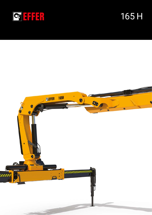

# 165 H